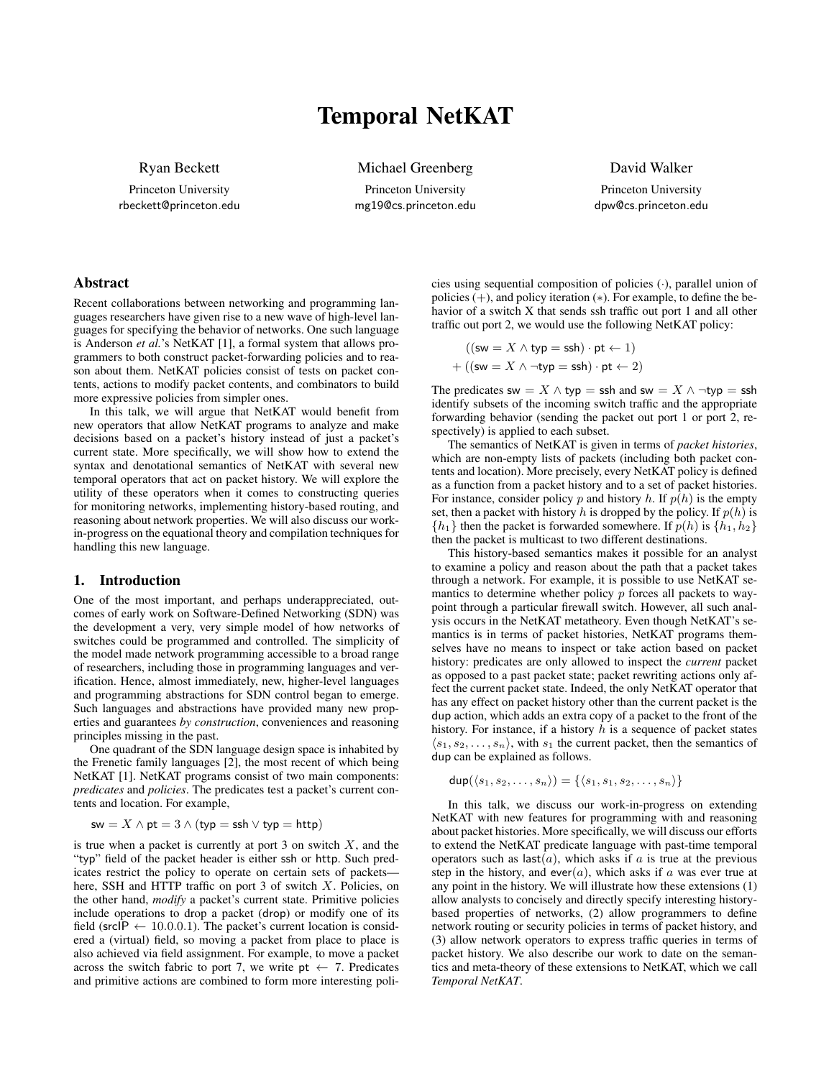# Temporal NetKAT

Ryan Beckett

Princeton University rbeckett@princeton.edu Michael Greenberg

Princeton University mg19@cs.princeton.edu David Walker

Princeton University dpw@cs.princeton.edu

## Abstract

Recent collaborations between networking and programming languages researchers have given rise to a new wave of high-level languages for specifying the behavior of networks. One such language is Anderson *et al.*'s NetKAT [\[1\]](#page-1-0), a formal system that allows programmers to both construct packet-forwarding policies and to reason about them. NetKAT policies consist of tests on packet contents, actions to modify packet contents, and combinators to build more expressive policies from simpler ones.

In this talk, we will argue that NetKAT would benefit from new operators that allow NetKAT programs to analyze and make decisions based on a packet's history instead of just a packet's current state. More specifically, we will show how to extend the syntax and denotational semantics of NetKAT with several new temporal operators that act on packet history. We will explore the utility of these operators when it comes to constructing queries for monitoring networks, implementing history-based routing, and reasoning about network properties. We will also discuss our workin-progress on the equational theory and compilation techniques for handling this new language.

#### 1. Introduction

One of the most important, and perhaps underappreciated, outcomes of early work on Software-Defined Networking (SDN) was the development a very, very simple model of how networks of switches could be programmed and controlled. The simplicity of the model made network programming accessible to a broad range of researchers, including those in programming languages and verification. Hence, almost immediately, new, higher-level languages and programming abstractions for SDN control began to emerge. Such languages and abstractions have provided many new properties and guarantees *by construction*, conveniences and reasoning principles missing in the past.

One quadrant of the SDN language design space is inhabited by the Frenetic family languages [\[2\]](#page-1-1), the most recent of which being NetKAT [\[1\]](#page-1-0). NetKAT programs consist of two main components: *predicates* and *policies*. The predicates test a packet's current contents and location. For example,

$$
\mathsf{sw} = X \land \mathsf{pt} = 3 \land (\mathsf{typ} = \mathsf{ssh} \lor \mathsf{typ} = \mathsf{http})
$$

is true when a packet is currently at port  $3$  on switch  $X$ , and the "typ" field of the packet header is either ssh or http. Such predicates restrict the policy to operate on certain sets of packets here, SSH and HTTP traffic on port 3 of switch  $X$ . Policies, on the other hand, *modify* a packet's current state. Primitive policies include operations to drop a packet (drop) or modify one of its field (srcIP  $\leftarrow$  10.0.0.1). The packet's current location is considered a (virtual) field, so moving a packet from place to place is also achieved via field assignment. For example, to move a packet across the switch fabric to port 7, we write  $pt \leftarrow 7$ . Predicates and primitive actions are combined to form more interesting policies using sequential composition of policies (·), parallel union of policies (+), and policy iteration (∗). For example, to define the behavior of a switch X that sends ssh traffic out port 1 and all other traffic out port 2, we would use the following NetKAT policy:

$$
((\mathsf{sw} = X \land \mathsf{typ} = \mathsf{ssh}) \cdot \mathsf{pt} \leftarrow 1)
$$

$$
+ ((\mathsf{sw} = X \land \neg \mathsf{typ} = \mathsf{ssh}) \cdot \mathsf{pt} \leftarrow 2)
$$

The predicates sw =  $X \wedge$  typ = ssh and sw =  $X \wedge \neg$ typ = ssh identify subsets of the incoming switch traffic and the appropriate forwarding behavior (sending the packet out port 1 or port 2, respectively) is applied to each subset.

The semantics of NetKAT is given in terms of *packet histories*, which are non-empty lists of packets (including both packet contents and location). More precisely, every NetKAT policy is defined as a function from a packet history and to a set of packet histories. For instance, consider policy p and history h. If  $p(h)$  is the empty set, then a packet with history h is dropped by the policy. If  $p(h)$  is  ${h_1}$  then the packet is forwarded somewhere. If  $p(h)$  is  ${h_1, h_2}$ then the packet is multicast to two different destinations.

This history-based semantics makes it possible for an analyst to examine a policy and reason about the path that a packet takes through a network. For example, it is possible to use NetKAT semantics to determine whether policy  $p$  forces all packets to waypoint through a particular firewall switch. However, all such analysis occurs in the NetKAT metatheory. Even though NetKAT's semantics is in terms of packet histories, NetKAT programs themselves have no means to inspect or take action based on packet history: predicates are only allowed to inspect the *current* packet as opposed to a past packet state; packet rewriting actions only affect the current packet state. Indeed, the only NetKAT operator that has any effect on packet history other than the current packet is the dup action, which adds an extra copy of a packet to the front of the history. For instance, if a history  $h$  is a sequence of packet states  $\langle s_1, s_2, \ldots, s_n \rangle$ , with  $s_1$  the current packet, then the semantics of dup can be explained as follows.

 $\text{dup}(\langle s_1, s_2, \ldots, s_n \rangle) = \{\langle s_1, s_1, s_2, \ldots, s_n \rangle\}$ 

In this talk, we discuss our work-in-progress on extending NetKAT with new features for programming with and reasoning about packet histories. More specifically, we will discuss our efforts to extend the NetKAT predicate language with past-time temporal operators such as  $\text{last}(a)$ , which asks if a is true at the previous step in the history, and ever(a), which asks if a was ever true at any point in the history. We will illustrate how these extensions (1) allow analysts to concisely and directly specify interesting historybased properties of networks, (2) allow programmers to define network routing or security policies in terms of packet history, and (3) allow network operators to express traffic queries in terms of packet history. We also describe our work to date on the semantics and meta-theory of these extensions to NetKAT, which we call *Temporal NetKAT*.